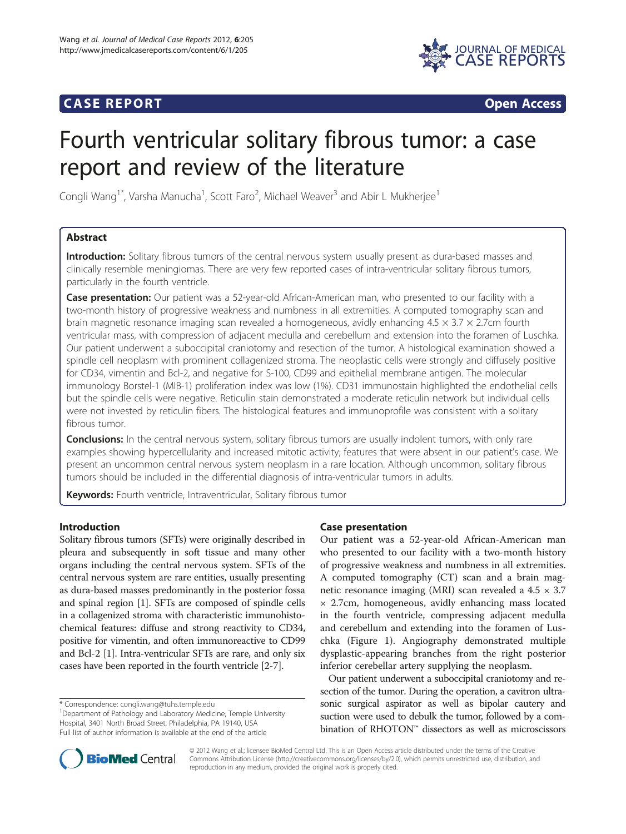## **CASE REPORT CASE REPORT**



# Fourth ventricular solitary fibrous tumor: a case report and review of the literature

Congli Wang<sup>1\*</sup>, Varsha Manucha<sup>1</sup>, Scott Faro<sup>2</sup>, Michael Weaver<sup>3</sup> and Abir L Mukherjee<sup>1</sup>

## Abstract

Introduction: Solitary fibrous tumors of the central nervous system usually present as dura-based masses and clinically resemble meningiomas. There are very few reported cases of intra-ventricular solitary fibrous tumors, particularly in the fourth ventricle.

Case presentation: Our patient was a 52-year-old African-American man, who presented to our facility with a two-month history of progressive weakness and numbness in all extremities. A computed tomography scan and brain magnetic resonance imaging scan revealed a homogeneous, avidly enhancing  $4.5 \times 3.7 \times 2.7$ cm fourth ventricular mass, with compression of adjacent medulla and cerebellum and extension into the foramen of Luschka. Our patient underwent a suboccipital craniotomy and resection of the tumor. A histological examination showed a spindle cell neoplasm with prominent collagenized stroma. The neoplastic cells were strongly and diffusely positive for CD34, vimentin and Bcl-2, and negative for S-100, CD99 and epithelial membrane antigen. The molecular immunology Borstel-1 (MIB-1) proliferation index was low (1%). CD31 immunostain highlighted the endothelial cells but the spindle cells were negative. Reticulin stain demonstrated a moderate reticulin network but individual cells were not invested by reticulin fibers. The histological features and immunoprofile was consistent with a solitary fibrous tumor.

**Conclusions:** In the central nervous system, solitary fibrous tumors are usually indolent tumors, with only rare examples showing hypercellularity and increased mitotic activity; features that were absent in our patient's case. We present an uncommon central nervous system neoplasm in a rare location. Although uncommon, solitary fibrous tumors should be included in the differential diagnosis of intra-ventricular tumors in adults.

Keywords: Fourth ventricle, Intraventricular, Solitary fibrous tumor

## Introduction

Solitary fibrous tumors (SFTs) were originally described in pleura and subsequently in soft tissue and many other organs including the central nervous system. SFTs of the central nervous system are rare entities, usually presenting as dura-based masses predominantly in the posterior fossa and spinal region [[1](#page-4-0)]. SFTs are composed of spindle cells in a collagenized stroma with characteristic immunohistochemical features: diffuse and strong reactivity to CD34, positive for vimentin, and often immunoreactive to CD99 and Bcl-2 [\[1](#page-4-0)]. Intra-ventricular SFTs are rare, and only six cases have been reported in the fourth ventricle [[2-7\]](#page-4-0).

\* Correspondence: [congli.wang@tuhs.temple.edu](mailto:congli.wang@tuhs.temple.edu) <sup>1</sup>

<sup>1</sup>Department of Pathology and Laboratory Medicine, Temple University Hospital, 3401 North Broad Street, Philadelphia, PA 19140, USA Full list of author information is available at the end of the article

## Case presentation

Our patient was a 52-year-old African-American man who presented to our facility with a two-month history of progressive weakness and numbness in all extremities. A computed tomography (CT) scan and a brain magnetic resonance imaging (MRI) scan revealed a  $4.5 \times 3.7$ × 2.7cm, homogeneous, avidly enhancing mass located in the fourth ventricle, compressing adjacent medulla and cerebellum and extending into the foramen of Luschka (Figure [1\)](#page-1-0). Angiography demonstrated multiple dysplastic-appearing branches from the right posterior inferior cerebellar artery supplying the neoplasm.

Our patient underwent a suboccipital craniotomy and resection of the tumor. During the operation, a cavitron ultrasonic surgical aspirator as well as bipolar cautery and suction were used to debulk the tumor, followed by a combination of RHOTON™ dissectors as well as microscissors



© 2012 Wang et al.; licensee BioMed Central Ltd. This is an Open Access article distributed under the terms of the Creative Commons Attribution License [\(http://creativecommons.org/licenses/by/2.0\)](http://creativecommons.org/licenses/by/2.0), which permits unrestricted use, distribution, and reproduction in any medium, provided the original work is properly cited.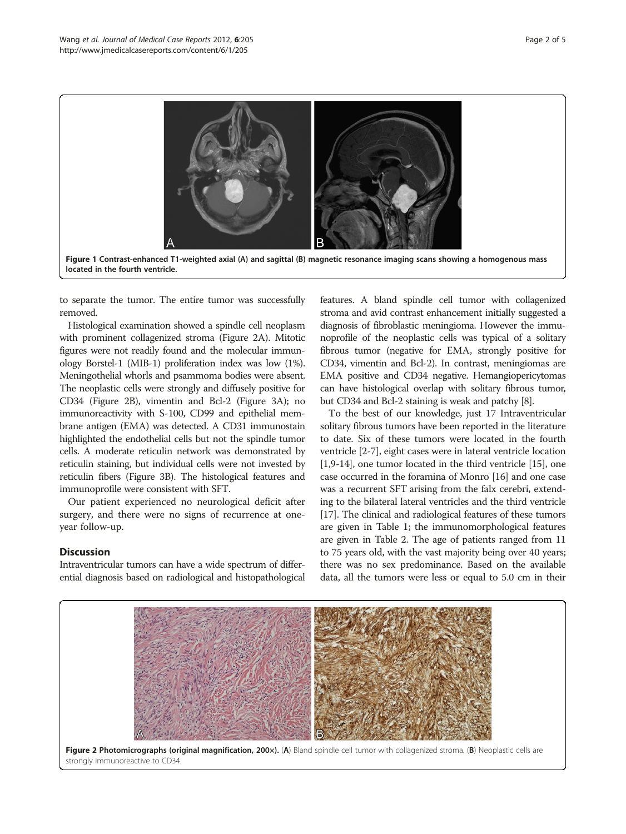<span id="page-1-0"></span>

to separate the tumor. The entire tumor was successfully removed.

Histological examination showed a spindle cell neoplasm with prominent collagenized stroma (Figure 2A). Mitotic figures were not readily found and the molecular immunology Borstel-1 (MIB-1) proliferation index was low (1%). Meningothelial whorls and psammoma bodies were absent. The neoplastic cells were strongly and diffusely positive for CD34 (Figure 2B), vimentin and Bcl-2 (Figure [3A\)](#page-2-0); no immunoreactivity with S-100, CD99 and epithelial membrane antigen (EMA) was detected. A CD31 immunostain highlighted the endothelial cells but not the spindle tumor cells. A moderate reticulin network was demonstrated by reticulin staining, but individual cells were not invested by reticulin fibers (Figure [3B](#page-2-0)). The histological features and immunoprofile were consistent with SFT.

Our patient experienced no neurological deficit after surgery, and there were no signs of recurrence at oneyear follow-up.

### **Discussion**

Intraventricular tumors can have a wide spectrum of differential diagnosis based on radiological and histopathological

features. A bland spindle cell tumor with collagenized stroma and avid contrast enhancement initially suggested a diagnosis of fibroblastic meningioma. However the immunoprofile of the neoplastic cells was typical of a solitary fibrous tumor (negative for EMA, strongly positive for CD34, vimentin and Bcl-2). In contrast, meningiomas are EMA positive and CD34 negative. Hemangiopericytomas can have histological overlap with solitary fibrous tumor, but CD34 and Bcl-2 staining is weak and patchy [[8](#page-4-0)].

To the best of our knowledge, just 17 Intraventricular solitary fibrous tumors have been reported in the literature to date. Six of these tumors were located in the fourth ventricle [[2-7\]](#page-4-0), eight cases were in lateral ventricle location [[1,9-14\]](#page-4-0), one tumor located in the third ventricle [\[15\]](#page-4-0), one case occurred in the foramina of Monro [\[16\]](#page-4-0) and one case was a recurrent SFT arising from the falx cerebri, extending to the bilateral lateral ventricles and the third ventricle [[17](#page-4-0)]. The clinical and radiological features of these tumors are given in Table [1;](#page-2-0) the immunomorphological features are given in Table [2.](#page-3-0) The age of patients ranged from 11 to 75 years old, with the vast majority being over 40 years; there was no sex predominance. Based on the available data, all the tumors were less or equal to 5.0 cm in their

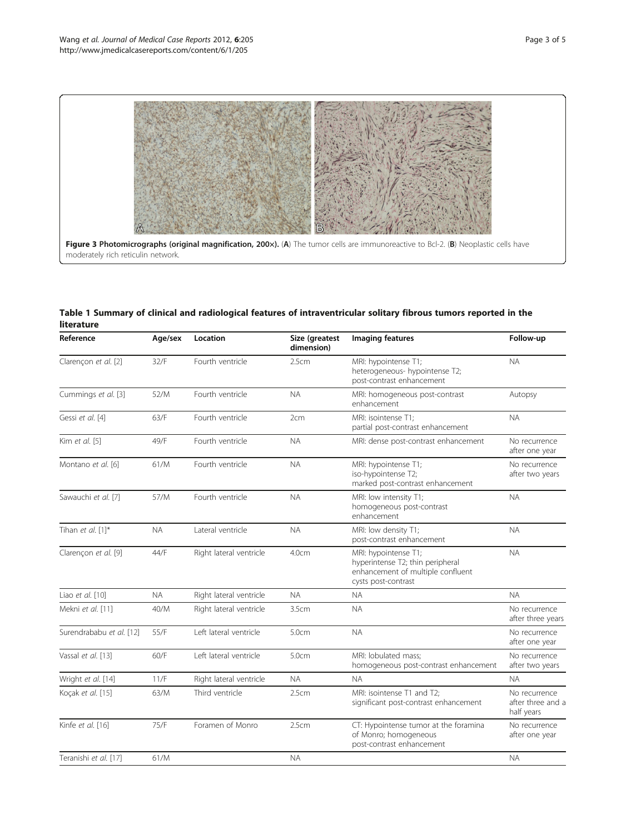<span id="page-2-0"></span>

## Table 1 Summary of clinical and radiological features of intraventricular solitary fibrous tumors reported in the literature

| Reference                | Age/sex   | Location                | Size (greatest<br>dimension) | Imaging features                                                                                                     | Follow-up                                        |  |
|--------------------------|-----------|-------------------------|------------------------------|----------------------------------------------------------------------------------------------------------------------|--------------------------------------------------|--|
| Clarençon et al. [2]     | 32/F      | Fourth ventricle        | 2.5cm                        | MRI: hypointense T1;<br>heterogeneous- hypointense T2;<br>post-contrast enhancement                                  | <b>NA</b>                                        |  |
| Cummings et al. [3]      | 52/M      | Fourth ventricle        | <b>NA</b>                    | MRI: homogeneous post-contrast<br>enhancement                                                                        | Autopsy                                          |  |
| Gessi et al. [4]         | 63/F      | Fourth ventricle        | 2cm                          | MRI: isointense T1;<br>partial post-contrast enhancement                                                             | <b>NA</b>                                        |  |
| Kim et al. [5]           | 49/F      | Fourth ventricle        | <b>NA</b>                    | MRI: dense post-contrast enhancement                                                                                 | No recurrence<br>after one year                  |  |
| Montano et al. [6]       | 61/M      | Fourth ventricle        | <b>NA</b>                    | MRI: hypointense T1;<br>iso-hypointense T2;<br>marked post-contrast enhancement                                      | No recurrence<br>after two years                 |  |
| Sawauchi et al. [7]      | 57/M      | Fourth ventricle        | <b>NA</b>                    | MRI: low intensity T1;<br>homogeneous post-contrast<br>enhancement                                                   | <b>NA</b>                                        |  |
| Tihan et al. [1]*        | <b>NA</b> | Lateral ventricle       | <b>NA</b>                    | MRI: low density T1;<br>post-contrast enhancement                                                                    | <b>NA</b>                                        |  |
| Clarençon et al. [9]     | 44/F      | Right lateral ventricle | 4.0cm                        | MRI: hypointense T1;<br>hyperintense T2; thin peripheral<br>enhancement of multiple confluent<br>cysts post-contrast | <b>NA</b>                                        |  |
| Liao et al. [10]         | <b>NA</b> | Right lateral ventricle | <b>NA</b>                    | <b>NA</b>                                                                                                            | <b>NA</b>                                        |  |
| Mekni et al. [11]        | 40/M      | Right lateral ventricle | 3.5cm                        | <b>NA</b>                                                                                                            | No recurrence<br>after three years               |  |
| Surendrababu et al. [12] | 55/F      | Left lateral ventricle  | 5.0cm                        | <b>NA</b>                                                                                                            | No recurrence<br>after one year                  |  |
| Vassal et al. [13]       | 60/F      | Left lateral ventricle  | 5.0cm                        | MRI: lobulated mass;<br>homogeneous post-contrast enhancement                                                        | No recurrence<br>after two years                 |  |
| Wright et al. [14]       | 11/F      | Right lateral ventricle | NA                           | <b>NA</b>                                                                                                            | <b>NA</b>                                        |  |
| Koçak et al. [15]        | 63/M      | Third ventricle         | 2.5cm                        | MRI: isointense T1 and T2;<br>significant post-contrast enhancement                                                  | No recurrence<br>after three and a<br>half years |  |
| Kinfe et al. [16]        | 75/F      | Foramen of Monro        | 2.5cm                        | CT: Hypointense tumor at the foramina<br>of Monro; homogeneous<br>post-contrast enhancement                          | No recurrence<br>after one year                  |  |
| Teranishi et al. [17]    | 61/M      |                         | <b>NA</b>                    |                                                                                                                      | <b>NA</b>                                        |  |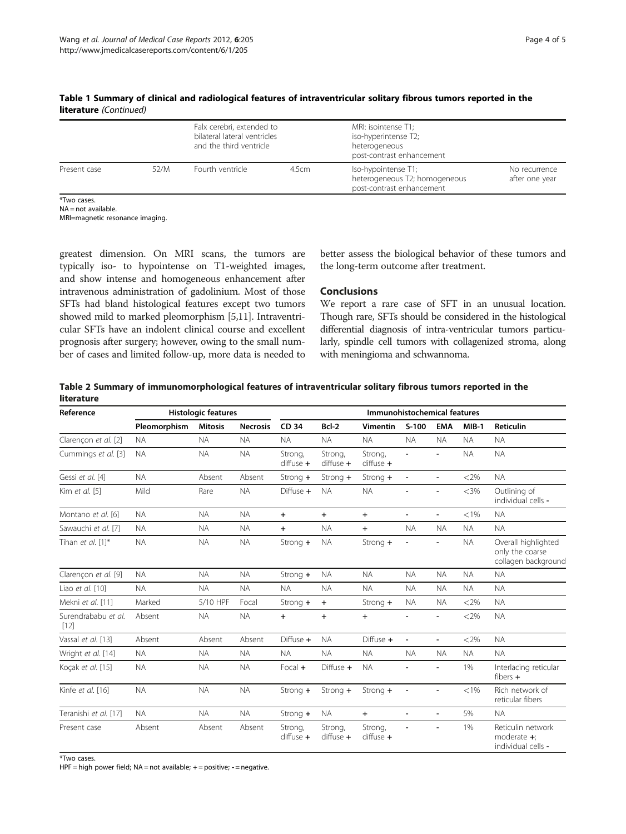|              |      | Falx cerebri, extended to<br>bilateral lateral ventricles<br>and the third ventricle |       | MRI: isointense T1;<br>iso-hyperintense T2;<br>heterogeneous<br>post-contrast enhancement |                                 |  |  |
|--------------|------|--------------------------------------------------------------------------------------|-------|-------------------------------------------------------------------------------------------|---------------------------------|--|--|
| Present case | 52/M | Fourth ventricle                                                                     | 4.5cm | Iso-hypointense T1;<br>heterogeneous T2; homogeneous<br>post-contrast enhancement         | No recurrence<br>after one year |  |  |

## <span id="page-3-0"></span>Table 1 Summary of clinical and radiological features of intraventricular solitary fibrous tumors reported in the literature (Continued)

\*Two cases.

NA = not available.

MRI=magnetic resonance imaging.

greatest dimension. On MRI scans, the tumors are typically iso- to hypointense on T1-weighted images, and show intense and homogeneous enhancement after intravenous administration of gadolinium. Most of those SFTs had bland histological features except two tumors showed mild to marked pleomorphism [[5,11](#page-4-0)]. Intraventricular SFTs have an indolent clinical course and excellent prognosis after surgery; however, owing to the small number of cases and limited follow-up, more data is needed to

## better assess the biological behavior of these tumors and the long-term outcome after treatment.

### Conclusions

We report a rare case of SFT in an unusual location. Though rare, SFTs should be considered in the histological differential diagnosis of intra-ventricular tumors particularly, spindle cell tumors with collagenized stroma, along with meningioma and schwannoma.

| Table 2 Summary of immunomorphological features of intraventricular solitary fibrous tumors reported in the |  |  |
|-------------------------------------------------------------------------------------------------------------|--|--|
| <b>literature</b>                                                                                           |  |  |

| Reference                     | <b>Histologic features</b> |                |                 | Immunohistochemical features |                        |                        |                          |                          |           |                                                               |
|-------------------------------|----------------------------|----------------|-----------------|------------------------------|------------------------|------------------------|--------------------------|--------------------------|-----------|---------------------------------------------------------------|
|                               | Pleomorphism               | <b>Mitosis</b> | <b>Necrosis</b> | CD 34                        | Bcl-2                  | <b>Vimentin</b>        | $S-100$                  | <b>EMA</b>               | $MIB-1$   | <b>Reticulin</b>                                              |
| Clarencon et al. [2]          | <b>NA</b>                  | <b>NA</b>      | <b>NA</b>       | <b>NA</b>                    | <b>NA</b>              | <b>NA</b>              | <b>NA</b>                | <b>NA</b>                | <b>NA</b> | <b>NA</b>                                                     |
| Cummings et al. [3]           | <b>NA</b>                  | <b>NA</b>      | <b>NA</b>       | Strong,<br>diffuse $+$       | Strong,<br>diffuse $+$ | Strong,<br>diffuse $+$ | L,                       | $\blacksquare$           | <b>NA</b> | <b>NA</b>                                                     |
| Gessi et al. [4]              | <b>NA</b>                  | Absent         | Absent          | Strong $+$                   | Strong $+$             | Strong $+$             | $\overline{\phantom{a}}$ | $\overline{\phantom{a}}$ | $< 2\%$   | <b>NA</b>                                                     |
| Kim et al. [5]                | Mild                       | Rare           | <b>NA</b>       | Diffuse $+$                  | <b>NA</b>              | <b>NA</b>              |                          |                          | $<$ 3%    | Outlining of<br>individual cells -                            |
| Montano et al. [6]            | <b>NA</b>                  | <b>NA</b>      | <b>NA</b>       | $+$                          | $+$                    | $+$                    | $\blacksquare$           | $\blacksquare$           | < 1%      | <b>NA</b>                                                     |
| Sawauchi et al. [7]           | <b>NA</b>                  | <b>NA</b>      | <b>NA</b>       | $+$                          | <b>NA</b>              | $+$                    | <b>NA</b>                | <b>NA</b>                | <b>NA</b> | <b>NA</b>                                                     |
| Tihan et al. [1]*             | <b>NA</b>                  | <b>NA</b>      | <b>NA</b>       | Strong $+$                   | <b>NA</b>              | Strong $+$             | $\overline{a}$           | $\blacksquare$           | <b>NA</b> | Overall highlighted<br>only the coarse<br>collagen background |
| Clarençon et al. [9]          | <b>NA</b>                  | <b>NA</b>      | <b>NA</b>       | Strong $+$                   | <b>NA</b>              | <b>NA</b>              | <b>NA</b>                | <b>NA</b>                | <b>NA</b> | <b>NA</b>                                                     |
| Liao et al. [10]              | <b>NA</b>                  | <b>NA</b>      | <b>NA</b>       | <b>NA</b>                    | <b>NA</b>              | <b>NA</b>              | <b>NA</b>                | <b>NA</b>                | <b>NA</b> | <b>NA</b>                                                     |
| Mekni et al. [11]             | Marked                     | 5/10 HPF       | Focal           | Strong $+$                   | $+$                    | Strong +               | <b>NA</b>                | <b>NA</b>                | $< 2\%$   | <b>NA</b>                                                     |
| Surendrababu et al.<br>$[12]$ | Absent                     | <b>NA</b>      | <b>NA</b>       | $+$                          | $+$                    | $+$                    |                          |                          | $< 2\%$   | <b>NA</b>                                                     |
| Vassal et al. [13]            | Absent                     | Absent         | Absent          | Diffuse $+$                  | <b>NA</b>              | Diffuse $+$            |                          | $\blacksquare$           | $< 2\%$   | <b>NA</b>                                                     |
| Wright et al. [14]            | <b>NA</b>                  | <b>NA</b>      | <b>NA</b>       | <b>NA</b>                    | <b>NA</b>              | <b>NA</b>              | <b>NA</b>                | <b>NA</b>                | <b>NA</b> | <b>NA</b>                                                     |
| Koçak et al. [15]             | <b>NA</b>                  | <b>NA</b>      | <b>NA</b>       | Focal $+$                    | Diffuse +              | <b>NA</b>              | $\overline{\phantom{a}}$ | $\blacksquare$           | 1%        | Interlacing reticular<br>fibers $+$                           |
| Kinfe et al. [16]             | <b>NA</b>                  | <b>NA</b>      | <b>NA</b>       | Strong +                     | Strong +               | Strong +               | $\overline{\phantom{a}}$ | $\overline{\phantom{a}}$ | < 1%      | Rich network of<br>reticular fibers                           |
| Teranishi et al. [17]         | <b>NA</b>                  | <b>NA</b>      | <b>NA</b>       | Strong $+$                   | <b>NA</b>              | $+$                    | $\blacksquare$           | $\blacksquare$           | 5%        | <b>NA</b>                                                     |
| Present case                  | Absent                     | Absent         | Absent          | Strong,<br>diffuse $+$       | Strong,<br>diffuse $+$ | Strong,<br>diffuse $+$ |                          |                          | 1%        | Reticulin network<br>moderate +;<br>individual cells -        |

\*Two cases.

HPF = high power field;  $NA = not available; + = positive; - = negative$ .